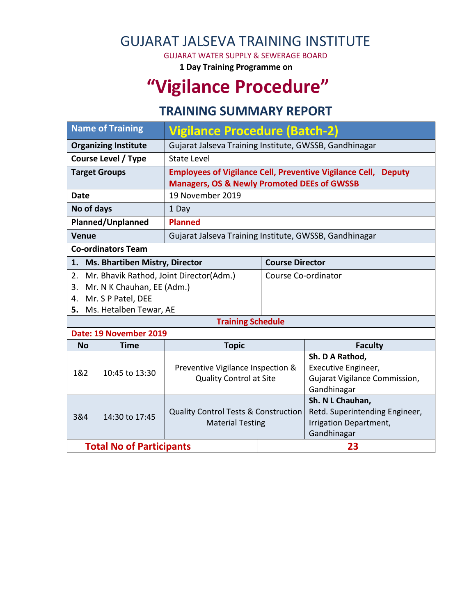## GUJARAT JALSEVA TRAINING INSTITUTE

GUJARAT WATER SUPPLY & SEWERAGE BOARD

**1 Day Training Programme on**

# **"Vigilance Procedure"**

#### **TRAINING SUMMARY REPORT**

| <b>Name of Training</b>      |                                       | <b>Vigilance Procedure (Batch-2)</b>                                       |                        |                                              |  |  |  |
|------------------------------|---------------------------------------|----------------------------------------------------------------------------|------------------------|----------------------------------------------|--|--|--|
| <b>Organizing Institute</b>  |                                       | Gujarat Jalseva Training Institute, GWSSB, Gandhinagar                     |                        |                                              |  |  |  |
| <b>Course Level / Type</b>   |                                       | State Level                                                                |                        |                                              |  |  |  |
| <b>Target Groups</b>         |                                       | <b>Employees of Vigilance Cell, Preventive Vigilance Cell, Deputy</b>      |                        |                                              |  |  |  |
|                              |                                       | <b>Managers, OS &amp; Newly Promoted DEEs of GWSSB</b>                     |                        |                                              |  |  |  |
| <b>Date</b>                  |                                       | 19 November 2019                                                           |                        |                                              |  |  |  |
| No of days                   |                                       | 1 Day                                                                      |                        |                                              |  |  |  |
| Planned/Unplanned            |                                       | <b>Planned</b>                                                             |                        |                                              |  |  |  |
| <b>Venue</b>                 |                                       | Gujarat Jalseva Training Institute, GWSSB, Gandhinagar                     |                        |                                              |  |  |  |
| <b>Co-ordinators Team</b>    |                                       |                                                                            |                        |                                              |  |  |  |
| 1.                           | <b>Ms. Bhartiben Mistry, Director</b> |                                                                            | <b>Course Director</b> |                                              |  |  |  |
| 2.                           |                                       | Mr. Bhavik Rathod, Joint Director(Adm.)                                    | Course Co-ordinator    |                                              |  |  |  |
| 3.                           | Mr. N K Chauhan, EE (Adm.)            |                                                                            |                        |                                              |  |  |  |
| Mr. S P Patel, DEE<br>4.     |                                       |                                                                            |                        |                                              |  |  |  |
| Ms. Hetalben Tewar, AE<br>5. |                                       |                                                                            |                        |                                              |  |  |  |
| <b>Training Schedule</b>     |                                       |                                                                            |                        |                                              |  |  |  |
|                              | Date: 19 November 2019                |                                                                            |                        |                                              |  |  |  |
| <b>No</b>                    | Time                                  | <b>Topic</b>                                                               |                        | <b>Faculty</b>                               |  |  |  |
|                              | 10:45 to 13:30                        | Preventive Vigilance Inspection &<br><b>Quality Control at Site</b>        |                        | Sh. D A Rathod,                              |  |  |  |
| 1&2                          |                                       |                                                                            |                        | Executive Engineer,                          |  |  |  |
|                              |                                       |                                                                            |                        | Gujarat Vigilance Commission,<br>Gandhinagar |  |  |  |
|                              |                                       |                                                                            |                        | Sh. N L Chauhan,                             |  |  |  |
| 3&4                          | 14:30 to 17:45                        | <b>Quality Control Tests &amp; Construction</b><br><b>Material Testing</b> |                        | Retd. Superintending Engineer,               |  |  |  |
|                              |                                       |                                                                            |                        | Irrigation Department,                       |  |  |  |
|                              |                                       |                                                                            |                        | Gandhinagar                                  |  |  |  |
|                              | <b>Total No of Participants</b>       |                                                                            | 23                     |                                              |  |  |  |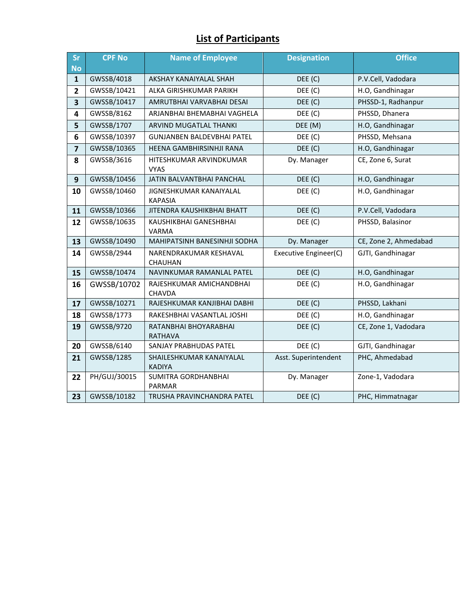#### **List of Participants**

| Sr                      | <b>CPF No</b> | Name of Employee                          | <b>Designation</b>    | <b>Office</b>         |
|-------------------------|---------------|-------------------------------------------|-----------------------|-----------------------|
| <b>No</b>               |               |                                           |                       |                       |
| $\mathbf{1}$            | GWSSB/4018    | AKSHAY KANAIYALAL SHAH                    | DEE (C)               | P.V.Cell, Vadodara    |
| $\overline{2}$          | GWSSB/10421   | ALKA GIRISHKUMAR PARIKH                   | DEE (C)               | H.O, Gandhinagar      |
| $\overline{\mathbf{3}}$ | GWSSB/10417   | AMRUTBHAI VARVABHAI DESAI                 | DEF(C)                | PHSSD-1, Radhanpur    |
| 4                       | GWSSB/8162    | ARJANBHAI BHEMABHAI VAGHELA               | DEE (C)               | PHSSD, Dhanera        |
| 5                       | GWSSB/1707    | ARVIND MUGATLAL THANKI                    | DEE (M)               | H.O, Gandhinagar      |
| 6                       | GWSSB/10397   | <b>GUNJANBEN BALDEVBHAI PATEL</b>         | DEE (C)               | PHSSD, Mehsana        |
| $\overline{7}$          | GWSSB/10365   | HEENA GAMBHIRSINHJI RANA                  | DEE (C)               | H.O, Gandhinagar      |
| 8                       | GWSSB/3616    | HITESHKUMAR ARVINDKUMAR<br><b>VYAS</b>    | Dy. Manager           | CE, Zone 6, Surat     |
| 9                       | GWSSB/10456   | JATIN BALVANTBHAI PANCHAL                 | DEE (C)               | H.O, Gandhinagar      |
| 10                      | GWSSB/10460   | JIGNESHKUMAR KANAIYALAL<br><b>KAPASIA</b> | DEE (C)               | H.O, Gandhinagar      |
| 11                      | GWSSB/10366   | JITENDRA KAUSHIKBHAI BHATT                | DEE (C)               | P.V.Cell, Vadodara    |
| 12                      | GWSSB/10635   | KAUSHIKBHAI GANESHBHAI<br>VARMA           | DEE (C)               | PHSSD, Balasinor      |
| 13                      | GWSSB/10490   | MAHIPATSINH BANESINHJI SODHA              | Dy. Manager           | CE, Zone 2, Ahmedabad |
| 14                      | GWSSB/2944    | NARENDRAKUMAR KESHAVAL<br><b>CHAUHAN</b>  | Executive Engineer(C) | GJTI, Gandhinagar     |
| 15                      | GWSSB/10474   | NAVINKUMAR RAMANLAL PATEL                 | DEE (C)               | H.O, Gandhinagar      |
| 16                      | GWSSB/10702   | RAJESHKUMAR AMICHANDBHAI<br>CHAVDA        | DEE (C)               | H.O, Gandhinagar      |
| 17                      | GWSSB/10271   | RAJESHKUMAR KANJIBHAI DABHI               | DEE (C)               | PHSSD, Lakhani        |
| 18                      | GWSSB/1773    | RAKESHBHAI VASANTLAL JOSHI                | DEE (C)               | H.O, Gandhinagar      |
| 19                      | GWSSB/9720    | RATANBHAI BHOYARABHAI<br><b>RATHAVA</b>   | DEE (C)               | CE, Zone 1, Vadodara  |
| 20                      | GWSSB/6140    | SANJAY PRABHUDAS PATEL                    | DEE (C)               | GJTI, Gandhinagar     |
| 21                      | GWSSB/1285    | SHAILESHKUMAR KANAIYALAL<br><b>KADIYA</b> | Asst. Superintendent  | PHC, Ahmedabad        |
| 22                      | PH/GUJ/30015  | SUMITRA GORDHANBHAI<br>PARMAR             | Dy. Manager           | Zone-1, Vadodara      |
| 23                      | GWSSB/10182   | TRUSHA PRAVINCHANDRA PATEL                | DEE (C)               | PHC, Himmatnagar      |